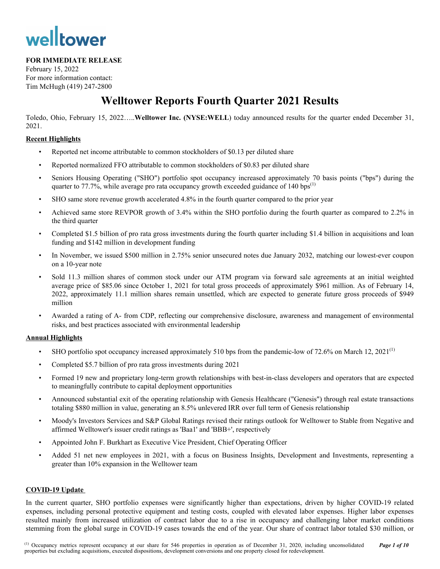# welltower

#### **FOR IMMEDIATE RELEASE**

February 15, 2022 For more information contact: Tim McHugh (419) 247-2800

## **Welltower Reports Fourth Quarter 2021 Results**

Toledo, Ohio, February 15, 2022…..**Welltower Inc. (NYSE:WELL**) today announced results for the quarter ended December 31, 2021.

#### **Recent Highlights**

- Reported net income attributable to common stockholders of \$0.13 per diluted share
- Reported normalized FFO attributable to common stockholders of \$0.83 per diluted share
- Seniors Housing Operating ("SHO") portfolio spot occupancy increased approximately 70 basis points ("bps") during the quarter to  $77.7\%$ , while average pro rata occupancy growth exceeded guidance of 140 bps<sup>(1)</sup>
- SHO same store revenue growth accelerated 4.8% in the fourth quarter compared to the prior year
- Achieved same store REVPOR growth of 3.4% within the SHO portfolio during the fourth quarter as compared to 2.2% in the third quarter
- Completed \$1.5 billion of pro rata gross investments during the fourth quarter including \$1.4 billion in acquisitions and loan funding and \$142 million in development funding
- In November, we issued \$500 million in 2.75% senior unsecured notes due January 2032, matching our lowest-ever coupon on a 10-year note
- Sold 11.3 million shares of common stock under our ATM program via forward sale agreements at an initial weighted average price of \$85.06 since October 1, 2021 for total gross proceeds of approximately \$961 million. As of February 14, 2022, approximately 11.1 million shares remain unsettled, which are expected to generate future gross proceeds of \$949 million
- Awarded a rating of A- from CDP, reflecting our comprehensive disclosure, awareness and management of environmental risks, and best practices associated with environmental leadership

#### **Annual Highlights**

- SHO portfolio spot occupancy increased approximately 510 bps from the pandemic-low of 72.6% on March 12,  $2021^{(1)}$
- Completed \$5.7 billion of pro rata gross investments during 2021
- Formed 19 new and proprietary long-term growth relationships with best-in-class developers and operators that are expected to meaningfully contribute to capital deployment opportunities
- Announced substantial exit of the operating relationship with Genesis Healthcare ("Genesis") through real estate transactions totaling \$880 million in value, generating an 8.5% unlevered IRR over full term of Genesis relationship
- Moody's Investors Services and S&P Global Ratings revised their ratings outlook for Welltower to Stable from Negative and affirmed Welltower's issuer credit ratings as 'Baa1' and 'BBB+', respectively
- Appointed John F. Burkhart as Executive Vice President, Chief Operating Officer
- Added 51 net new employees in 2021, with a focus on Business Insights, Development and Investments, representing a greater than 10% expansion in the Welltower team

#### **COVID-19 Update**

In the current quarter, SHO portfolio expenses were significantly higher than expectations, driven by higher COVID-19 related expenses, including personal protective equipment and testing costs, coupled with elevated labor expenses. Higher labor expenses resulted mainly from increased utilization of contract labor due to a rise in occupancy and challenging labor market conditions stemming from the global surge in COVID-19 cases towards the end of the year. Our share of contract labor totaled \$30 million, or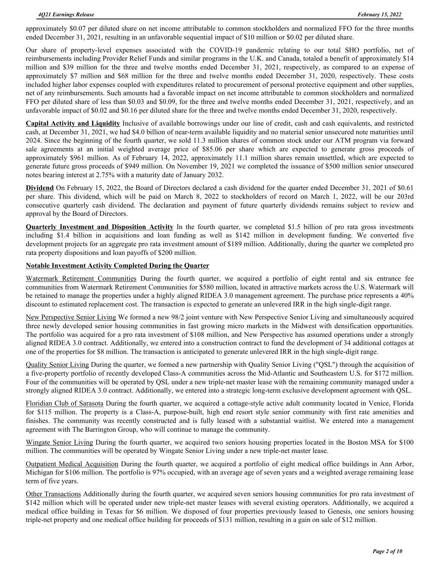approximately \$0.07 per diluted share on net income attributable to common stockholders and normalized FFO for the three months ended December 31, 2021, resulting in an unfavorable sequential impact of \$10 million or \$0.02 per diluted share.

Our share of property-level expenses associated with the COVID-19 pandemic relating to our total SHO portfolio, net of reimbursements including Provider Relief Funds and similar programs in the U.K. and Canada, totaled a benefit of approximately \$14 million and \$39 million for the three and twelve months ended December 31, 2021, respectively, as compared to an expense of approximately \$7 million and \$68 million for the three and twelve months ended December 31, 2020, respectively. These costs included higher labor expenses coupled with expenditures related to procurement of personal protective equipment and other supplies, net of any reimbursements. Such amounts had a favorable impact on net income attributable to common stockholders and normalized FFO per diluted share of less than \$0.03 and \$0.09, for the three and twelve months ended December 31, 2021, respectively, and an unfavorable impact of \$0.02 and \$0.16 per diluted share for the three and twelve months ended December 31, 2020, respectively.

**Capital Activity and Liquidity** Inclusive of available borrowings under our line of credit, cash and cash equivalents, and restricted cash, at December 31, 2021, we had \$4.0 billion of near-term available liquidity and no material senior unsecured note maturities until 2024. Since the beginning of the fourth quarter, we sold 11.3 million shares of common stock under our ATM program via forward sale agreements at an initial weighted average price of \$85.06 per share which are expected to generate gross proceeds of approximately \$961 million. As of February 14, 2022, approximately 11.1 million shares remain unsettled, which are expected to generate future gross proceeds of \$949 million. On November 19, 2021 we completed the issuance of \$500 million senior unsecured notes bearing interest at 2.75% with a maturity date of January 2032.

**Dividend** On February 15, 2022, the Board of Directors declared a cash dividend for the quarter ended December 31, 2021 of \$0.61 per share. This dividend, which will be paid on March 8, 2022 to stockholders of record on March 1, 2022, will be our 203rd consecutive quarterly cash dividend. The declaration and payment of future quarterly dividends remains subject to review and approval by the Board of Directors.

**Quarterly Investment and Disposition Activity** In the fourth quarter, we completed \$1.5 billion of pro rata gross investments including \$1.4 billion in acquisitions and loan funding as well as \$142 million in development funding. We converted five development projects for an aggregate pro rata investment amount of \$189 million. Additionally, during the quarter we completed pro rata property dispositions and loan payoffs of \$200 million.

#### **Notable Investment Activity Completed During the Quarter**

Watermark Retirement Communities During the fourth quarter, we acquired a portfolio of eight rental and six entrance fee communities from Watermark Retirement Communities for \$580 million, located in attractive markets across the U.S. Watermark will be retained to manage the properties under a highly aligned RIDEA 3.0 management agreement. The purchase price represents a 40% discount to estimated replacement cost. The transaction is expected to generate an unlevered IRR in the high single-digit range.

New Perspective Senior Living We formed a new 98/2 joint venture with New Perspective Senior Living and simultaneously acquired three newly developed senior housing communities in fast growing micro markets in the Midwest with densification opportunities. The portfolio was acquired for a pro rata investment of \$108 million, and New Perspective has assumed operations under a strongly aligned RIDEA 3.0 contract. Additionally, we entered into a construction contract to fund the development of 34 additional cottages at one of the properties for \$8 million. The transaction is anticipated to generate unlevered IRR in the high single-digit range.

Quality Senior Living During the quarter, we formed a new partnership with Quality Senior Living ("QSL") through the acquisition of a five-property portfolio of recently developed Class-A communities across the Mid-Atlantic and Southeastern U.S. for \$172 million. Four of the communities will be operated by QSL under a new triple-net master lease with the remaining community managed under a strongly aligned RIDEA 3.0 contract. Additionally, we entered into a strategic long-term exclusive development agreement with QSL.

Floridian Club of Sarasota During the fourth quarter, we acquired a cottage-style active adult community located in Venice, Florida for \$115 million. The property is a Class-A, purpose-built, high end resort style senior community with first rate amenities and finishes. The community was recently constructed and is fully leased with a substantial waitlist. We entered into a management agreement with The Barrington Group, who will continue to manage the community.

Wingate Senior Living During the fourth quarter, we acquired two seniors housing properties located in the Boston MSA for \$100 million. The communities will be operated by Wingate Senior Living under a new triple-net master lease.

Outpatient Medical Acquisition During the fourth quarter, we acquired a portfolio of eight medical office buildings in Ann Arbor, Michigan for \$106 million. The portfolio is 97% occupied, with an average age of seven years and a weighted average remaining lease term of five years.

Other Transactions Additionally during the fourth quarter, we acquired seven seniors housing communities for pro rata investment of \$142 million which will be operated under new triple-net master leases with several existing operators. Additionally, we acquired a medical office building in Texas for \$6 million. We disposed of four properties previously leased to Genesis, one seniors housing triple-net property and one medical office building for proceeds of \$131 million, resulting in a gain on sale of \$12 million.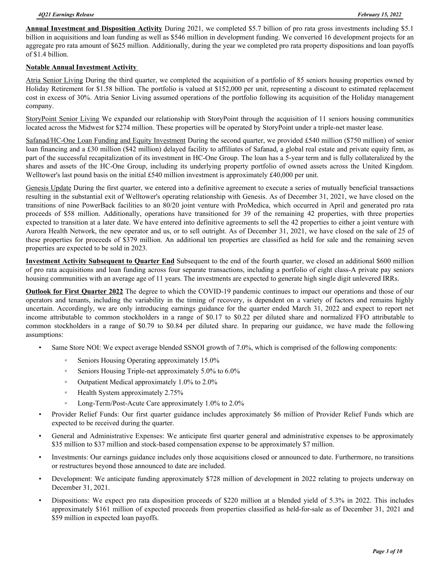**Annual Investment and Disposition Activity** During 2021, we completed \$5.7 billion of pro rata gross investments including \$5.1 billion in acquisitions and loan funding as well as \$546 million in development funding. We converted 16 development projects for an aggregate pro rata amount of \$625 million. Additionally, during the year we completed pro rata property dispositions and loan payoffs of \$1.4 billion.

#### **Notable Annual Investment Activity**

Atria Senior Living During the third quarter, we completed the acquisition of a portfolio of 85 seniors housing properties owned by Holiday Retirement for \$1.58 billion. The portfolio is valued at \$152,000 per unit, representing a discount to estimated replacement cost in excess of 30%. Atria Senior Living assumed operations of the portfolio following its acquisition of the Holiday management company.

StoryPoint Senior Living We expanded our relationship with StoryPoint through the acquisition of 11 seniors housing communities located across the Midwest for \$274 million. These properties will be operated by StoryPoint under a triple-net master lease.

Safanad/HC-One Loan Funding and Equity Investment During the second quarter, we provided £540 million (\$750 million) of senior loan financing and a £30 million (\$42 million) delayed facility to affiliates of Safanad, a global real estate and private equity firm, as part of the successful recapitalization of its investment in HC-One Group. The loan has a 5-year term and is fully collateralized by the shares and assets of the HC-One Group, including its underlying property portfolio of owned assets across the United Kingdom. Welltower's last pound basis on the initial £540 million investment is approximately £40,000 per unit.

Genesis Update During the first quarter, we entered into a definitive agreement to execute a series of mutually beneficial transactions resulting in the substantial exit of Welltower's operating relationship with Genesis. As of December 31, 2021, we have closed on the transitions of nine PowerBack facilities to an 80/20 joint venture with ProMedica, which occurred in April and generated pro rata proceeds of \$58 million. Additionally, operations have transitioned for 39 of the remaining 42 properties, with three properties expected to transition at a later date. We have entered into definitive agreements to sell the 42 properties to either a joint venture with Aurora Health Network, the new operator and us, or to sell outright. As of December 31, 2021, we have closed on the sale of 25 of these properties for proceeds of \$379 million. An additional ten properties are classified as held for sale and the remaining seven properties are expected to be sold in 2023.

**Investment Activity Subsequent to Quarter End** Subsequent to the end of the fourth quarter, we closed an additional \$600 million of pro rata acquisitions and loan funding across four separate transactions, including a portfolio of eight class-A private pay seniors housing communities with an average age of 11 years. The investments are expected to generate high single digit unlevered IRRs.

**Outlook for First Quarter 2022** The degree to which the COVID-19 pandemic continues to impact our operations and those of our operators and tenants, including the variability in the timing of recovery, is dependent on a variety of factors and remains highly uncertain. Accordingly, we are only introducing earnings guidance for the quarter ended March 31, 2022 and expect to report net income attributable to common stockholders in a range of \$0.17 to \$0.22 per diluted share and normalized FFO attributable to common stockholders in a range of \$0.79 to \$0.84 per diluted share. In preparing our guidance, we have made the following assumptions:

- Same Store NOI: We expect average blended SSNOI growth of 7.0%, which is comprised of the following components:
	- Seniors Housing Operating approximately 15.0%
	- Seniors Housing Triple-net approximately 5.0% to 6.0%
	- Outpatient Medical approximately 1.0% to 2.0%
	- Health System approximately 2.75%
	- Long-Term/Post-Acute Care approximately 1.0% to 2.0%
- Provider Relief Funds: Our first quarter guidance includes approximately \$6 million of Provider Relief Funds which are expected to be received during the quarter.
- General and Administrative Expenses: We anticipate first quarter general and administrative expenses to be approximately \$35 million to \$37 million and stock-based compensation expense to be approximately \$7 million.
- Investments: Our earnings guidance includes only those acquisitions closed or announced to date. Furthermore, no transitions or restructures beyond those announced to date are included.
- Development: We anticipate funding approximately \$728 million of development in 2022 relating to projects underway on December 31, 2021.
- Dispositions: We expect pro rata disposition proceeds of \$220 million at a blended yield of 5.3% in 2022. This includes approximately \$161 million of expected proceeds from properties classified as held-for-sale as of December 31, 2021 and \$59 million in expected loan payoffs.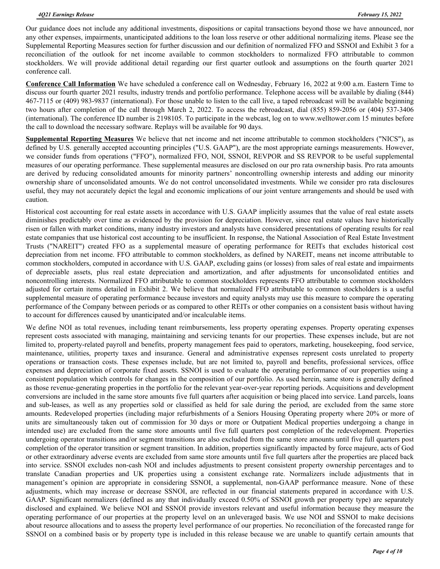Our guidance does not include any additional investments, dispositions or capital transactions beyond those we have announced, nor any other expenses, impairments, unanticipated additions to the loan loss reserve or other additional normalizing items. Please see the Supplemental Reporting Measures section for further discussion and our definition of normalized FFO and SSNOI and Exhibit 3 for a reconciliation of the outlook for net income available to common stockholders to normalized FFO attributable to common stockholders. We will provide additional detail regarding our first quarter outlook and assumptions on the fourth quarter 2021 conference call.

**Conference Call Information** We have scheduled a conference call on Wednesday, February 16, 2022 at 9:00 a.m. Eastern Time to discuss our fourth quarter 2021 results, industry trends and portfolio performance. Telephone access will be available by dialing (844) 467-7115 or (409) 983-9837 (international). For those unable to listen to the call live, a taped rebroadcast will be available beginning two hours after completion of the call through March 2, 2022. To access the rebroadcast, dial (855) 859-2056 or (404) 537-3406 (international). The conference ID number is 2198105. To participate in the webcast, log on to www.welltower.com 15 minutes before the call to download the necessary software. Replays will be available for 90 days.

**Supplemental Reporting Measures** We believe that net income and net income attributable to common stockholders ("NICS"), as defined by U.S. generally accepted accounting principles ("U.S. GAAP"), are the most appropriate earnings measurements. However, we consider funds from operations ("FFO"), normalized FFO, NOI, SSNOI, REVPOR and SS REVPOR to be useful supplemental measures of our operating performance. These supplemental measures are disclosed on our pro rata ownership basis. Pro rata amounts are derived by reducing consolidated amounts for minority partners' noncontrolling ownership interests and adding our minority ownership share of unconsolidated amounts. We do not control unconsolidated investments. While we consider pro rata disclosures useful, they may not accurately depict the legal and economic implications of our joint venture arrangements and should be used with caution.

Historical cost accounting for real estate assets in accordance with U.S. GAAP implicitly assumes that the value of real estate assets diminishes predictably over time as evidenced by the provision for depreciation. However, since real estate values have historically risen or fallen with market conditions, many industry investors and analysts have considered presentations of operating results for real estate companies that use historical cost accounting to be insufficient. In response, the National Association of Real Estate Investment Trusts ("NAREIT") created FFO as a supplemental measure of operating performance for REITs that excludes historical cost depreciation from net income. FFO attributable to common stockholders, as defined by NAREIT, means net income attributable to common stockholders, computed in accordance with U.S. GAAP, excluding gains (or losses) from sales of real estate and impairments of depreciable assets, plus real estate depreciation and amortization, and after adjustments for unconsolidated entities and noncontrolling interests. Normalized FFO attributable to common stockholders represents FFO attributable to common stockholders adjusted for certain items detailed in Exhibit 2. We believe that normalized FFO attributable to common stockholders is a useful supplemental measure of operating performance because investors and equity analysts may use this measure to compare the operating performance of the Company between periods or as compared to other REITs or other companies on a consistent basis without having to account for differences caused by unanticipated and/or incalculable items.

We define NOI as total revenues, including tenant reimbursements, less property operating expenses. Property operating expenses represent costs associated with managing, maintaining and servicing tenants for our properties. These expenses include, but are not limited to, property-related payroll and benefits, property management fees paid to operators, marketing, housekeeping, food service, maintenance, utilities, property taxes and insurance. General and administrative expenses represent costs unrelated to property operations or transaction costs. These expenses include, but are not limited to, payroll and benefits, professional services, office expenses and depreciation of corporate fixed assets. SSNOI is used to evaluate the operating performance of our properties using a consistent population which controls for changes in the composition of our portfolio. As used herein, same store is generally defined as those revenue-generating properties in the portfolio for the relevant year-over-year reporting periods. Acquisitions and development conversions are included in the same store amounts five full quarters after acquisition or being placed into service. Land parcels, loans and sub-leases, as well as any properties sold or classified as held for sale during the period, are excluded from the same store amounts. Redeveloped properties (including major refurbishments of a Seniors Housing Operating property where 20% or more of units are simultaneously taken out of commission for 30 days or more or Outpatient Medical properties undergoing a change in intended use) are excluded from the same store amounts until five full quarters post completion of the redevelopment. Properties undergoing operator transitions and/or segment transitions are also excluded from the same store amounts until five full quarters post completion of the operator transition or segment transition. In addition, properties significantly impacted by force majeure, acts of God or other extraordinary adverse events are excluded from same store amounts until five full quarters after the properties are placed back into service. SSNOI excludes non-cash NOI and includes adjustments to present consistent property ownership percentages and to translate Canadian properties and UK properties using a consistent exchange rate. Normalizers include adjustments that in management's opinion are appropriate in considering SSNOI, a supplemental, non-GAAP performance measure. None of these adjustments, which may increase or decrease SSNOI, are reflected in our financial statements prepared in accordance with U.S. GAAP. Significant normalizers (defined as any that individually exceed 0.50% of SSNOI growth per property type) are separately disclosed and explained. We believe NOI and SSNOI provide investors relevant and useful information because they measure the operating performance of our properties at the property level on an unleveraged basis. We use NOI and SSNOI to make decisions about resource allocations and to assess the property level performance of our properties. No reconciliation of the forecasted range for SSNOI on a combined basis or by property type is included in this release because we are unable to quantify certain amounts that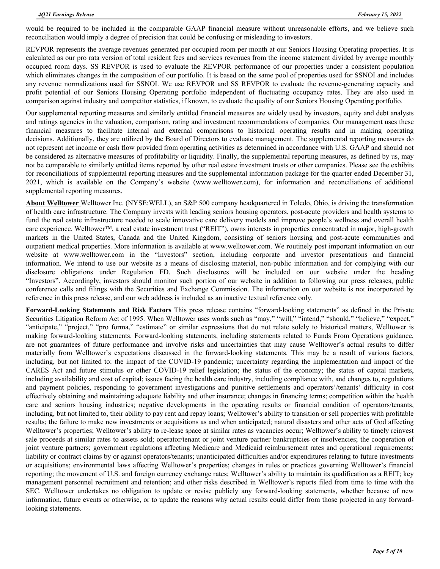would be required to be included in the comparable GAAP financial measure without unreasonable efforts, and we believe such reconciliation would imply a degree of precision that could be confusing or misleading to investors.

REVPOR represents the average revenues generated per occupied room per month at our Seniors Housing Operating properties. It is calculated as our pro rata version of total resident fees and services revenues from the income statement divided by average monthly occupied room days. SS REVPOR is used to evaluate the REVPOR performance of our properties under a consistent population which eliminates changes in the composition of our portfolio. It is based on the same pool of properties used for SSNOI and includes any revenue normalizations used for SSNOI. We use REVPOR and SS REVPOR to evaluate the revenue-generating capacity and profit potential of our Seniors Housing Operating portfolio independent of fluctuating occupancy rates. They are also used in comparison against industry and competitor statistics, if known, to evaluate the quality of our Seniors Housing Operating portfolio.

Our supplemental reporting measures and similarly entitled financial measures are widely used by investors, equity and debt analysts and ratings agencies in the valuation, comparison, rating and investment recommendations of companies. Our management uses these financial measures to facilitate internal and external comparisons to historical operating results and in making operating decisions. Additionally, they are utilized by the Board of Directors to evaluate management. The supplemental reporting measures do not represent net income or cash flow provided from operating activities as determined in accordance with U.S. GAAP and should not be considered as alternative measures of profitability or liquidity. Finally, the supplemental reporting measures, as defined by us, may not be comparable to similarly entitled items reported by other real estate investment trusts or other companies. Please see the exhibits for reconciliations of supplemental reporting measures and the supplemental information package for the quarter ended December 31, 2021, which is available on the Company's website (www.welltower.com), for information and reconciliations of additional supplemental reporting measures.

**About Welltower** Welltower Inc. (NYSE:WELL), an S&P 500 company headquartered in Toledo, Ohio, is driving the transformation of health care infrastructure. The Company invests with leading seniors housing operators, post-acute providers and health systems to fund the real estate infrastructure needed to scale innovative care delivery models and improve people's wellness and overall health care experience. Welltower™, a real estate investment trust ("REIT"), owns interests in properties concentrated in major, high-growth markets in the United States, Canada and the United Kingdom, consisting of seniors housing and post-acute communities and outpatient medical properties. More information is available at www.welltower.com. We routinely post important information on our website at www.welltower.com in the "Investors" section, including corporate and investor presentations and financial information. We intend to use our website as a means of disclosing material, non-public information and for complying with our disclosure obligations under Regulation FD. Such disclosures will be included on our website under the heading "Investors". Accordingly, investors should monitor such portion of our website in addition to following our press releases, public conference calls and filings with the Securities and Exchange Commission. The information on our website is not incorporated by reference in this press release, and our web address is included as an inactive textual reference only.

**Forward-Looking Statements and Risk Factors** This press release contains "forward-looking statements" as defined in the Private Securities Litigation Reform Act of 1995. When Welltower uses words such as "may," "will," "intend," "should," "believe," "expect," "anticipate," "project," "pro forma," "estimate" or similar expressions that do not relate solely to historical matters, Welltower is making forward-looking statements. Forward-looking statements, including statements related to Funds From Operations guidance, are not guarantees of future performance and involve risks and uncertainties that may cause Welltower's actual results to differ materially from Welltower's expectations discussed in the forward-looking statements. This may be a result of various factors, including, but not limited to: the impact of the COVID-19 pandemic; uncertainty regarding the implementation and impact of the CARES Act and future stimulus or other COVID-19 relief legislation; the status of the economy; the status of capital markets, including availability and cost of capital; issues facing the health care industry, including compliance with, and changes to, regulations and payment policies, responding to government investigations and punitive settlements and operators'/tenants' difficulty in cost effectively obtaining and maintaining adequate liability and other insurance; changes in financing terms; competition within the health care and seniors housing industries; negative developments in the operating results or financial condition of operators/tenants, including, but not limited to, their ability to pay rent and repay loans; Welltower's ability to transition or sell properties with profitable results; the failure to make new investments or acquisitions as and when anticipated; natural disasters and other acts of God affecting Welltower's properties; Welltower's ability to re-lease space at similar rates as vacancies occur; Welltower's ability to timely reinvest sale proceeds at similar rates to assets sold; operator/tenant or joint venture partner bankruptcies or insolvencies; the cooperation of joint venture partners; government regulations affecting Medicare and Medicaid reimbursement rates and operational requirements; liability or contract claims by or against operators/tenants; unanticipated difficulties and/or expenditures relating to future investments or acquisitions; environmental laws affecting Welltower's properties; changes in rules or practices governing Welltower's financial reporting; the movement of U.S. and foreign currency exchange rates; Welltower's ability to maintain its qualification as a REIT; key management personnel recruitment and retention; and other risks described in Welltower's reports filed from time to time with the SEC. Welltower undertakes no obligation to update or revise publicly any forward-looking statements, whether because of new information, future events or otherwise, or to update the reasons why actual results could differ from those projected in any forwardlooking statements.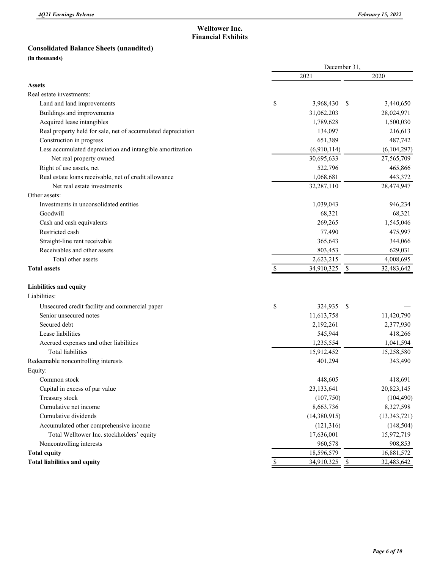### **Welltower Inc. Financial Exhibits**

#### **Consolidated Balance Sheets (unaudited)**

**(in thousands)**

|                                                              | December 31, |               |      |                |  |  |
|--------------------------------------------------------------|--------------|---------------|------|----------------|--|--|
|                                                              |              | 2021          |      | 2020           |  |  |
| <b>Assets</b>                                                |              |               |      |                |  |  |
| Real estate investments:                                     |              |               |      |                |  |  |
| Land and land improvements                                   | \$           | 3,968,430     | - \$ | 3,440,650      |  |  |
| Buildings and improvements                                   |              | 31,062,203    |      | 28,024,971     |  |  |
| Acquired lease intangibles                                   |              | 1,789,628     |      | 1,500,030      |  |  |
| Real property held for sale, net of accumulated depreciation |              | 134,097       |      | 216,613        |  |  |
| Construction in progress                                     |              | 651,389       |      | 487,742        |  |  |
| Less accumulated depreciation and intangible amortization    |              | (6,910,114)   |      | (6,104,297)    |  |  |
| Net real property owned                                      |              | 30,695,633    |      | 27,565,709     |  |  |
| Right of use assets, net                                     |              | 522,796       |      | 465,866        |  |  |
| Real estate loans receivable, net of credit allowance        |              | 1,068,681     |      | 443,372        |  |  |
| Net real estate investments                                  |              | 32,287,110    |      | 28,474,947     |  |  |
| Other assets:                                                |              |               |      |                |  |  |
| Investments in unconsolidated entities                       |              | 1,039,043     |      | 946,234        |  |  |
| Goodwill                                                     |              | 68,321        |      | 68,321         |  |  |
| Cash and cash equivalents                                    |              | 269,265       |      | 1,545,046      |  |  |
| Restricted cash                                              |              | 77,490        |      | 475,997        |  |  |
| Straight-line rent receivable                                |              | 365,643       |      | 344,066        |  |  |
| Receivables and other assets                                 |              | 803,453       |      | 629,031        |  |  |
| Total other assets                                           |              | 2,623,215     |      | 4,008,695      |  |  |
| <b>Total assets</b>                                          |              | 34,910,325    | -S   | 32,483,642     |  |  |
| Liabilities and equity                                       |              |               |      |                |  |  |
| Liabilities:                                                 |              |               |      |                |  |  |
| Unsecured credit facility and commercial paper               | \$           | 324,935       | -S   |                |  |  |
| Senior unsecured notes                                       |              | 11,613,758    |      | 11,420,790     |  |  |
| Secured debt                                                 |              | 2,192,261     |      | 2,377,930      |  |  |
| Lease liabilities                                            |              | 545,944       |      | 418,266        |  |  |
| Accrued expenses and other liabilities                       |              | 1,235,554     |      | 1,041,594      |  |  |
| <b>Total liabilities</b>                                     |              | 15,912,452    |      | 15,258,580     |  |  |
| Redeemable noncontrolling interests                          |              | 401,294       |      | 343,490        |  |  |
| Equity:                                                      |              |               |      |                |  |  |
| Common stock                                                 |              | 448,605       |      | 418,691        |  |  |
| Capital in excess of par value                               |              | 23,133,641    |      | 20,823,145     |  |  |
| Treasury stock                                               |              | (107,750)     |      | (104, 490)     |  |  |
| Cumulative net income                                        |              | 8,663,736     |      | 8,327,598      |  |  |
| Cumulative dividends                                         |              | (14,380,915)  |      | (13, 343, 721) |  |  |
| Accumulated other comprehensive income                       |              | (121, 316)    |      | (148, 504)     |  |  |
| Total Welltower Inc. stockholders' equity                    |              | 17,636,001    |      | 15,972,719     |  |  |
| Noncontrolling interests                                     |              | 960,578       |      | 908,853        |  |  |
| <b>Total equity</b>                                          |              | 18,596,579    |      | 16,881,572     |  |  |
| <b>Total liabilities and equity</b>                          | $\mathbb{S}$ | 34,910,325 \$ |      | 32,483,642     |  |  |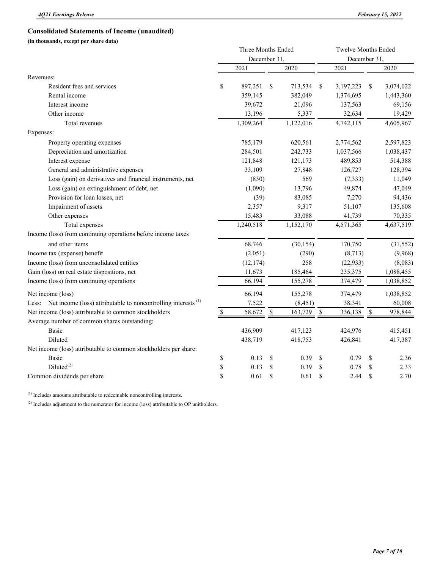|                                                                                 | Three Months Ended<br>December 31, |             |           |               | <b>Twelve Months Ended</b><br>December 31, |               |           |  |  |
|---------------------------------------------------------------------------------|------------------------------------|-------------|-----------|---------------|--------------------------------------------|---------------|-----------|--|--|
|                                                                                 | 2021                               |             | 2020      |               | 2021                                       |               | 2020      |  |  |
| Revenues:                                                                       |                                    |             |           |               |                                            |               |           |  |  |
| Resident fees and services                                                      | \$<br>897,251                      | \$          | 713,534   | \$            | 3,197,223                                  | \$            | 3,074,022 |  |  |
| Rental income                                                                   | 359,145                            |             | 382,049   |               | 1,374,695                                  |               | 1,443,360 |  |  |
| Interest income                                                                 | 39,672                             |             | 21,096    |               | 137,563                                    |               | 69,156    |  |  |
| Other income                                                                    | 13,196                             |             | 5,337     |               | 32,634                                     |               | 19,429    |  |  |
| Total revenues                                                                  | 1,309,264                          |             | 1,122,016 |               | 4,742,115                                  |               | 4,605,967 |  |  |
| Expenses:                                                                       |                                    |             |           |               |                                            |               |           |  |  |
| Property operating expenses                                                     | 785,179                            |             | 620,561   |               | 2,774,562                                  |               | 2,597,823 |  |  |
| Depreciation and amortization                                                   | 284,501                            |             | 242,733   |               | 1,037,566                                  |               | 1,038,437 |  |  |
| Interest expense                                                                | 121,848                            |             | 121,173   | 489,853       |                                            |               | 514,388   |  |  |
| General and administrative expenses                                             | 33,109                             |             | 27,848    |               | 126,727                                    |               | 128,394   |  |  |
| Loss (gain) on derivatives and financial instruments, net                       | (830)                              |             | 569       |               | (7, 333)                                   |               | 11,049    |  |  |
| Loss (gain) on extinguishment of debt, net                                      | (1,090)                            |             | 13,796    |               | 49,874                                     |               | 47,049    |  |  |
| Provision for loan losses, net                                                  | (39)                               |             | 83,085    |               | 7,270                                      |               | 94,436    |  |  |
| Impairment of assets                                                            | 2,357                              |             | 9,317     |               | 51,107                                     |               | 135,608   |  |  |
| Other expenses                                                                  | 15,483                             |             | 33,088    |               | 41,739                                     |               | 70,335    |  |  |
| Total expenses                                                                  | 1,240,518                          |             | 1,152,170 |               | 4,571,365                                  |               | 4,637,519 |  |  |
| Income (loss) from continuing operations before income taxes                    |                                    |             |           |               |                                            |               |           |  |  |
| and other items                                                                 | 68,746                             |             | (30, 154) |               | 170,750                                    |               | (31, 552) |  |  |
| Income tax (expense) benefit                                                    | (2,051)                            |             | (290)     |               | (8,713)                                    |               | (9,968)   |  |  |
| Income (loss) from unconsolidated entities                                      | (12, 174)                          |             | 258       |               | (22, 933)                                  |               | (8,083)   |  |  |
| Gain (loss) on real estate dispositions, net                                    | 11,673                             |             | 185,464   |               | 235,375                                    |               | 1,088,455 |  |  |
| Income (loss) from continuing operations                                        | 66,194                             |             | 155,278   |               | 374,479                                    |               | 1,038,852 |  |  |
| Net income (loss)                                                               | 66,194                             |             | 155,278   |               | 374,479                                    |               | 1,038,852 |  |  |
| Less: Net income (loss) attributable to noncontrolling interests <sup>(1)</sup> | 7,522                              |             | (8, 451)  |               | 38,341                                     |               | 60,008    |  |  |
| Net income (loss) attributable to common stockholders                           | \$<br>58,672                       | \$          | 163,729   | \$            | 336,138                                    | \$            | 978,844   |  |  |
| Average number of common shares outstanding:                                    |                                    |             |           |               |                                            |               |           |  |  |
| Basic                                                                           | 436,909                            |             | 417,123   |               | 424,976                                    |               | 415,451   |  |  |
| Diluted                                                                         | 438,719                            |             | 418,753   |               | 426,841                                    |               | 417,387   |  |  |
| Net income (loss) attributable to common stockholders per share:                |                                    |             |           |               |                                            |               |           |  |  |
| <b>Basic</b>                                                                    | \$<br>0.13                         | \$          | 0.39      | \$            | 0.79                                       | \$            | 2.36      |  |  |
| $Diluted^{(2)}$                                                                 | \$<br>0.13                         | \$          | 0.39      | \$            | 0.78                                       | \$            | 2.33      |  |  |
| Common dividends per share                                                      | \$<br>0.61                         | $\mathbf S$ | 0.61      | <sup>\$</sup> | 2.44                                       | <sup>\$</sup> | 2.70      |  |  |

(1) Includes amounts attributable to redeemable noncontrolling interests.

 $^{(2)}$  Includes adjustment to the numerator for income (loss) attributable to OP unitholders.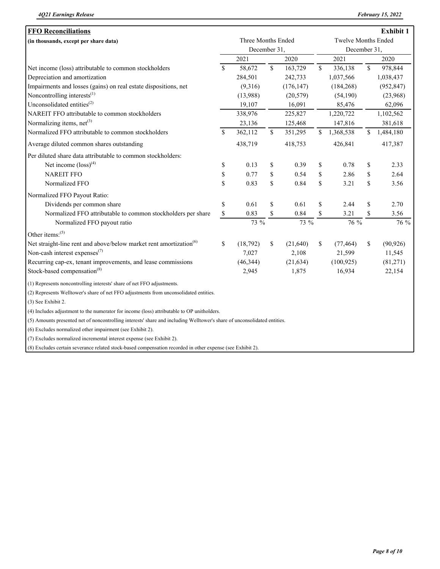| <b>FFO Reconciliations</b>                                                                                               |                    |              |               |            |                            |              |              | Exhibit 1  |  |
|--------------------------------------------------------------------------------------------------------------------------|--------------------|--------------|---------------|------------|----------------------------|--------------|--------------|------------|--|
| (in thousands, except per share data)                                                                                    | Three Months Ended |              |               |            | <b>Twelve Months Ended</b> |              |              |            |  |
|                                                                                                                          |                    | December 31, |               |            |                            | December 31, |              |            |  |
|                                                                                                                          |                    | 2021<br>2020 |               |            |                            | 2021         | 2020         |            |  |
| Net income (loss) attributable to common stockholders                                                                    | \$                 | 58,672       | $\mathbb{S}$  | 163,729    | \$                         | 336,138      | $\mathbb{S}$ | 978,844    |  |
| Depreciation and amortization                                                                                            |                    | 284,501      |               | 242,733    |                            | 1,037,566    |              | 1,038,437  |  |
| Impairments and losses (gains) on real estate dispositions, net                                                          |                    | (9,316)      |               | (176, 147) |                            | (184, 268)   |              | (952, 847) |  |
| Noncontrolling interests $^{(1)}$                                                                                        |                    | (13,988)     |               | (20, 579)  |                            | (54,190)     |              | (23,968)   |  |
| Unconsolidated entities <sup>(2)</sup>                                                                                   |                    | 19,107       |               | 16,091     |                            | 85,476       |              | 62,096     |  |
| NAREIT FFO attributable to common stockholders                                                                           |                    | 338,976      |               | 225,827    |                            | 1,220,722    |              | 1,102,562  |  |
| Normalizing items, net <sup>(3)</sup>                                                                                    |                    | 23,136       |               | 125,468    |                            | 147,816      |              | 381,618    |  |
| Normalized FFO attributable to common stockholders                                                                       | \$                 | 362,112      | $\mathsf{\$}$ | 351,295    | \$                         | 1,368,538    | $\mathbb{S}$ | 1,484,180  |  |
| Average diluted common shares outstanding                                                                                |                    | 438,719      |               | 418,753    |                            | 426,841      |              | 417,387    |  |
| Per diluted share data attributable to common stockholders:                                                              |                    |              |               |            |                            |              |              |            |  |
| Net income $\left( \text{loss}\right)^{(4)}$                                                                             | \$                 | 0.13         | \$            | 0.39       | \$                         | 0.78         | \$           | 2.33       |  |
| <b>NAREIT FFO</b>                                                                                                        | \$                 | 0.77         | \$            | 0.54       | \$                         | 2.86         | \$           | 2.64       |  |
| Normalized FFO                                                                                                           | \$                 | 0.83         | \$            | 0.84       | \$                         | 3.21         | \$           | 3.56       |  |
| Normalized FFO Payout Ratio:                                                                                             |                    |              |               |            |                            |              |              |            |  |
| Dividends per common share                                                                                               | \$                 | 0.61         | \$            | 0.61       | \$                         | 2.44         | \$           | 2.70       |  |
| Normalized FFO attributable to common stockholders per share                                                             | \$                 | 0.83         | \$            | 0.84       | \$                         | 3.21         | \$           | 3.56       |  |
| Normalized FFO payout ratio                                                                                              |                    | 73 %         |               | 73 %       |                            | 76 %         |              | 76 %       |  |
| Other items: <sup>(5)</sup>                                                                                              |                    |              |               |            |                            |              |              |            |  |
| Net straight-line rent and above/below market rent amortization <sup>(6)</sup>                                           | $\mathbb{S}$       | (18, 792)    | \$            | (21,640)   | \$                         | (77, 464)    | \$           | (90, 926)  |  |
| Non-cash interest expenses $(7)$                                                                                         |                    | 7,027        |               | 2,108      |                            | 21,599       |              | 11,545     |  |
| Recurring cap-ex, tenant improvements, and lease commissions                                                             |                    | (46, 344)    |               | (21, 634)  |                            | (100, 925)   |              | (81,271)   |  |
| Stock-based compensation <sup>(8)</sup>                                                                                  |                    | 2,945        |               | 1,875      |                            | 16,934       |              | 22,154     |  |
| (1) Represents noncontrolling interests' share of net FFO adjustments.                                                   |                    |              |               |            |                            |              |              |            |  |
| (2) Represents Welltower's share of net FFO adjustments from unconsolidated entities.                                    |                    |              |               |            |                            |              |              |            |  |
| (3) See Exhibit 2.                                                                                                       |                    |              |               |            |                            |              |              |            |  |
| (4) Includes adjustment to the numerator for income (loss) attributable to OP unitholders.                               |                    |              |               |            |                            |              |              |            |  |
| (5) Amounts presented net of noncontrolling interests' share and including Welltower's share of unconsolidated entities. |                    |              |               |            |                            |              |              |            |  |
| (6) Excludes normalized other impairment (see Exhibit 2).                                                                |                    |              |               |            |                            |              |              |            |  |
| (7) Excludes normalized incremental interest expense (see Exhibit 2).                                                    |                    |              |               |            |                            |              |              |            |  |
| (8) Excludes certain severance related stock-based compensation recorded in other expense (see Exhibit 2).               |                    |              |               |            |                            |              |              |            |  |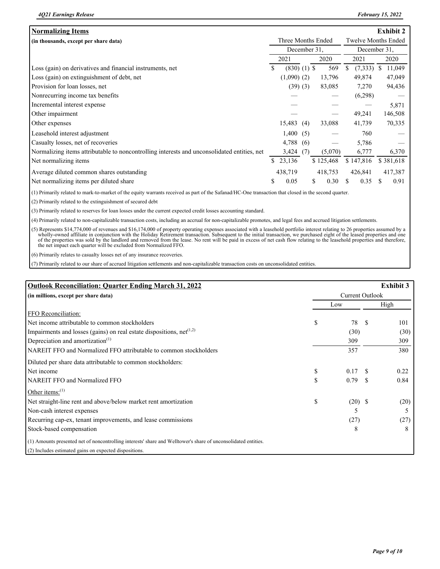| <b>Normalizing Items</b>                                                                    |                    |                 |     |                            |           |    |           |    | <b>Exhibit 2</b> |
|---------------------------------------------------------------------------------------------|--------------------|-----------------|-----|----------------------------|-----------|----|-----------|----|------------------|
| (in thousands, except per share data)                                                       | Three Months Ended |                 |     | <b>Twelve Months Ended</b> |           |    |           |    |                  |
|                                                                                             | December 31.       |                 |     | December 31,               |           |    |           |    |                  |
|                                                                                             |                    | 2021            |     |                            | 2020      |    | 2021      |    | 2020             |
| Loss (gain) on derivatives and financial instruments, net                                   | \$                 | $(830)$ (1) \$  |     |                            | 569       |    | (7,333)   | S. | 11,049           |
| Loss (gain) on extinguishment of debt, net                                                  |                    | $(1,090)$ $(2)$ |     |                            | 13,796    |    | 49,874    |    | 47,049           |
| Provision for loan losses, net                                                              |                    | $(39)$ $(3)$    |     |                            | 83,085    |    | 7,270     |    | 94,436           |
| Nonrecurring income tax benefits                                                            |                    |                 |     |                            |           |    | (6,298)   |    |                  |
| Incremental interest expense                                                                |                    |                 |     |                            |           |    |           |    | 5,871            |
| Other impairment                                                                            |                    |                 |     |                            |           |    | 49,241    |    | 146,508          |
| Other expenses                                                                              |                    | 15,483          | (4) |                            | 33,088    |    | 41,739    |    | 70,335           |
| Leasehold interest adjustment                                                               |                    | 1,400           | (5) |                            |           |    | 760       |    |                  |
| Casualty losses, net of recoveries                                                          |                    | 4,788           | (6) |                            |           |    | 5,786     |    |                  |
| Normalizing items attributable to noncontrolling interests and unconsolidated entities, net |                    | $3,424$ (7)     |     |                            | (5,070)   |    | 6,777     |    | 6,370            |
| Net normalizing items                                                                       |                    | \$23,136        |     |                            | \$125,468 |    | \$147,816 |    | \$381,618        |
| Average diluted common shares outstanding                                                   |                    | 438,719         |     |                            | 418,753   |    | 426,841   |    | 417,387          |
| Net normalizing items per diluted share                                                     | \$                 | 0.05            |     | \$                         | 0.30      | S. | 0.35      | S  | 0.91             |

(1) Primarily related to mark-to-market of the equity warrants received as part of the Safanad/HC-One transaction that closed in the second quarter.

(2) Primarily related to the extinguishment of secured debt

(3) Primarily related to reserves for loan losses under the current expected credit losses accounting standard.

(4) Primarily related to non-capitalizable transaction costs, including an accrual for non-capitalizable promotes, and legal fees and accrued litigation settlements.

(5) Represents \$14,774,000 of revenues and \$16,174,000 of property operating expenses associated with a leasehold portfolio interest relating to 26 properties assumed by a wholly-owned affiliate in conjunction with the Hol the net impact each quarter will be excluded from Normalized FFO.

(6) Primarily relates to casualty losses net of any insurance recoveries.

(7) Primarily related to our share of accrued litigation settlements and non-capitalizable transaction costs on unconsolidated entities.

| <b>Outlook Reconciliation: Quarter Ending March 31, 2022</b>                                                   |                        |           |    | <b>Exhibit 3</b> |  |  |  |
|----------------------------------------------------------------------------------------------------------------|------------------------|-----------|----|------------------|--|--|--|
| (in millions, except per share data)                                                                           | <b>Current Outlook</b> |           |    |                  |  |  |  |
|                                                                                                                |                        | Low       |    |                  |  |  |  |
| FFO Reconciliation:                                                                                            |                        |           |    |                  |  |  |  |
| Net income attributable to common stockholders                                                                 | \$                     | 78        |    | 101              |  |  |  |
| Impairments and losses (gains) on real estate dispositions, $net^{(1,2)}$                                      |                        | (30)      |    | (30)             |  |  |  |
| Depreciation and amortization <sup>(1)</sup>                                                                   |                        | 309       |    | 309              |  |  |  |
| NAREIT FFO and Normalized FFO attributable to common stockholders                                              |                        | 357       |    | 380              |  |  |  |
| Diluted per share data attributable to common stockholders:                                                    |                        |           |    |                  |  |  |  |
| Net income                                                                                                     | \$                     | 0.17      |    | 0.22             |  |  |  |
| NAREIT FFO and Normalized FFO                                                                                  | \$                     | 0.79      | S. | 0.84             |  |  |  |
| Other items: $(1)$                                                                                             |                        |           |    |                  |  |  |  |
| Net straight-line rent and above/below market rent amortization                                                | \$                     | $(20)$ \$ |    | (20)             |  |  |  |
| Non-cash interest expenses                                                                                     |                        |           |    |                  |  |  |  |
| Recurring cap-ex, tenant improvements, and lease commissions                                                   |                        | (27)      |    | (27)             |  |  |  |
| Stock-based compensation                                                                                       |                        | 8         |    | 8                |  |  |  |
| (1) Amounts presented net of noncontrolling interests' share and Welltower's share of unconsolidated entities. |                        |           |    |                  |  |  |  |
| (2) Includes estimated gains on expected dispositions.                                                         |                        |           |    |                  |  |  |  |